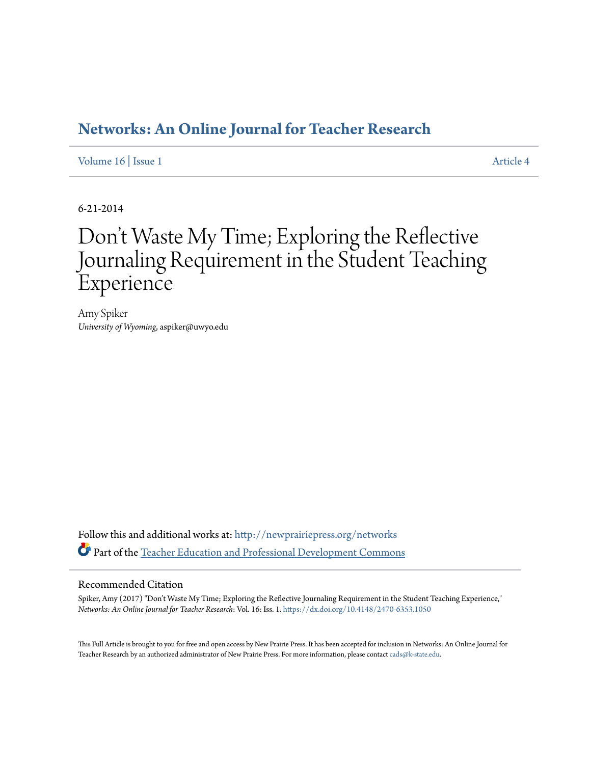#### **[Networks: An Online Journal for Teacher Research](http://newprairiepress.org/networks?utm_source=newprairiepress.org%2Fnetworks%2Fvol16%2Fiss1%2F4&utm_medium=PDF&utm_campaign=PDFCoverPages)**

[Volume 16](http://newprairiepress.org/networks/vol16?utm_source=newprairiepress.org%2Fnetworks%2Fvol16%2Fiss1%2F4&utm_medium=PDF&utm_campaign=PDFCoverPages) | [Issue 1](http://newprairiepress.org/networks/vol16/iss1?utm_source=newprairiepress.org%2Fnetworks%2Fvol16%2Fiss1%2F4&utm_medium=PDF&utm_campaign=PDFCoverPages) [Article 4](http://newprairiepress.org/networks/vol16/iss1/4?utm_source=newprairiepress.org%2Fnetworks%2Fvol16%2Fiss1%2F4&utm_medium=PDF&utm_campaign=PDFCoverPages)

6-21-2014

## Don 't Waste My Time; Exploring the Reflective Journaling Requirement in the Student Teaching Experience

Amy Spiker *University of Wyoming*, aspiker@uwyo.edu

Follow this and additional works at: [http://newprairiepress.org/networks](http://newprairiepress.org/networks?utm_source=newprairiepress.org%2Fnetworks%2Fvol16%2Fiss1%2F4&utm_medium=PDF&utm_campaign=PDFCoverPages) Part of the [Teacher Education and Professional Development Commons](http://network.bepress.com/hgg/discipline/803?utm_source=newprairiepress.org%2Fnetworks%2Fvol16%2Fiss1%2F4&utm_medium=PDF&utm_campaign=PDFCoverPages)

#### Recommended Citation

Spiker, Amy (2017) "Don't Waste My Time; Exploring the Reflective Journaling Requirement in the Student Teaching Experience," *Networks: An Online Journal for Teacher Research*: Vol. 16: Iss. 1. <https://dx.doi.org/10.4148/2470-6353.1050>

This Full Article is brought to you for free and open access by New Prairie Press. It has been accepted for inclusion in Networks: An Online Journal for Teacher Research by an authorized administrator of New Prairie Press. For more information, please contact [cads@k-state.edu.](mailto:cads@k-state.edu)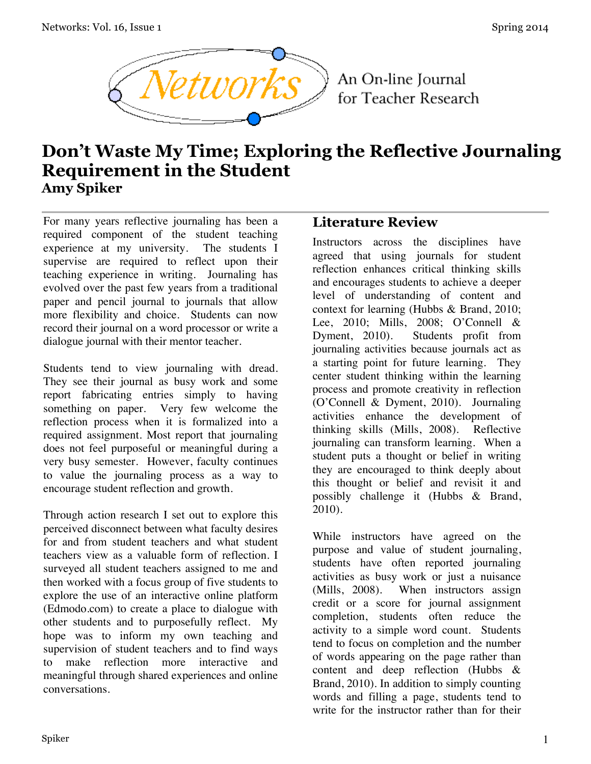

An On-line Journal for Teacher Research

### **Don't Waste My Time; Exploring the Reflective Journaling Requirement in the Student Amy Spiker**

For many years reflective journaling has been a required component of the student teaching experience at my university. The students I supervise are required to reflect upon their teaching experience in writing. Journaling has evolved over the past few years from a traditional paper and pencil journal to journals that allow more flexibility and choice. Students can now record their journal on a word processor or write a dialogue journal with their mentor teacher.

Students tend to view journaling with dread. They see their journal as busy work and some report fabricating entries simply to having something on paper. Very few welcome the reflection process when it is formalized into a required assignment. Most report that journaling does not feel purposeful or meaningful during a very busy semester. However, faculty continues to value the journaling process as a way to encourage student reflection and growth.

Through action research I set out to explore this perceived disconnect between what faculty desires for and from student teachers and what student teachers view as a valuable form of reflection. I surveyed all student teachers assigned to me and then worked with a focus group of five students to explore the use of an interactive online platform (Edmodo.com) to create a place to dialogue with other students and to purposefully reflect. My hope was to inform my own teaching and supervision of student teachers and to find ways to make reflection more interactive and meaningful through shared experiences and online conversations.

#### **Literature Review**

Instructors across the disciplines have agreed that using journals for student reflection enhances critical thinking skills and encourages students to achieve a deeper level of understanding of content and context for learning (Hubbs & Brand, 2010; Lee, 2010; Mills, 2008; O'Connell & Dyment, 2010). Students profit from journaling activities because journals act as a starting point for future learning. They center student thinking within the learning process and promote creativity in reflection (O'Connell & Dyment, 2010). Journaling activities enhance the development of thinking skills (Mills, 2008). Reflective journaling can transform learning. When a student puts a thought or belief in writing they are encouraged to think deeply about this thought or belief and revisit it and possibly challenge it (Hubbs & Brand, 2010).

While instructors have agreed on the purpose and value of student journaling, students have often reported journaling activities as busy work or just a nuisance (Mills, 2008). When instructors assign credit or a score for journal assignment completion, students often reduce the activity to a simple word count. Students tend to focus on completion and the number of words appearing on the page rather than content and deep reflection (Hubbs & Brand, 2010). In addition to simply counting words and filling a page, students tend to write for the instructor rather than for their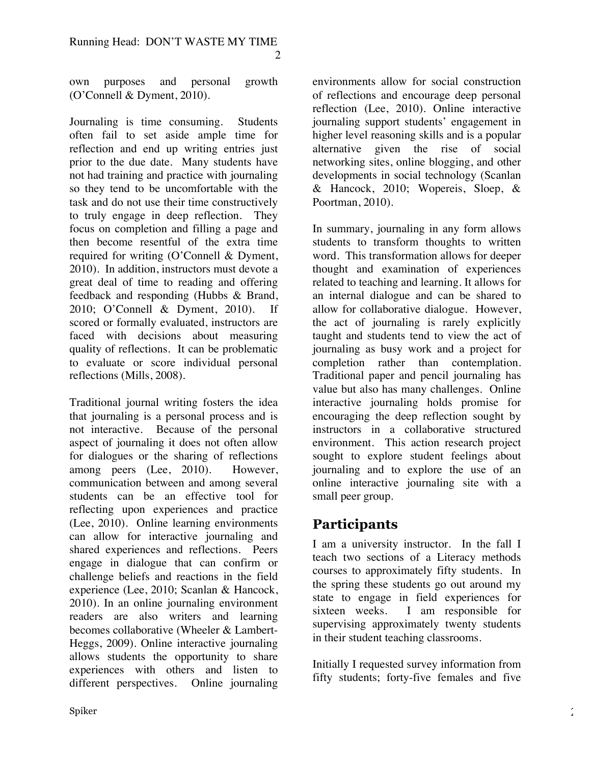$\mathcal{L}$ 

own purposes and personal growth (O'Connell & Dyment, 2010).

Journaling is time consuming. Students often fail to set aside ample time for reflection and end up writing entries just prior to the due date. Many students have not had training and practice with journaling so they tend to be uncomfortable with the task and do not use their time constructively to truly engage in deep reflection. They focus on completion and filling a page and then become resentful of the extra time required for writing (O'Connell & Dyment, 2010). In addition, instructors must devote a great deal of time to reading and offering feedback and responding (Hubbs & Brand, 2010; O'Connell & Dyment, 2010). If scored or formally evaluated, instructors are faced with decisions about measuring quality of reflections. It can be problematic to evaluate or score individual personal reflections (Mills, 2008).

Traditional journal writing fosters the idea that journaling is a personal process and is not interactive. Because of the personal aspect of journaling it does not often allow for dialogues or the sharing of reflections among peers (Lee, 2010). However, communication between and among several students can be an effective tool for reflecting upon experiences and practice (Lee, 2010). Online learning environments can allow for interactive journaling and shared experiences and reflections. Peers engage in dialogue that can confirm or challenge beliefs and reactions in the field experience (Lee, 2010; Scanlan & Hancock, 2010). In an online journaling environment readers are also writers and learning becomes collaborative (Wheeler & Lambert-Heggs, 2009). Online interactive journaling allows students the opportunity to share experiences with others and listen to different perspectives. Online journaling

environments allow for social construction of reflections and encourage deep personal reflection (Lee, 2010). Online interactive journaling support students' engagement in higher level reasoning skills and is a popular alternative given the rise of social networking sites, online blogging, and other developments in social technology (Scanlan & Hancock, 2010; Wopereis, Sloep, & Poortman, 2010).

In summary, journaling in any form allows students to transform thoughts to written word. This transformation allows for deeper thought and examination of experiences related to teaching and learning. It allows for an internal dialogue and can be shared to allow for collaborative dialogue. However, the act of journaling is rarely explicitly taught and students tend to view the act of journaling as busy work and a project for completion rather than contemplation. Traditional paper and pencil journaling has value but also has many challenges. Online interactive journaling holds promise for encouraging the deep reflection sought by instructors in a collaborative structured environment. This action research project sought to explore student feelings about journaling and to explore the use of an online interactive journaling site with a small peer group.

#### **Participants**

I am a university instructor. In the fall I teach two sections of a Literacy methods courses to approximately fifty students. In the spring these students go out around my state to engage in field experiences for sixteen weeks. I am responsible for I am responsible for supervising approximately twenty students in their student teaching classrooms.

Initially I requested survey information from fifty students; forty-five females and five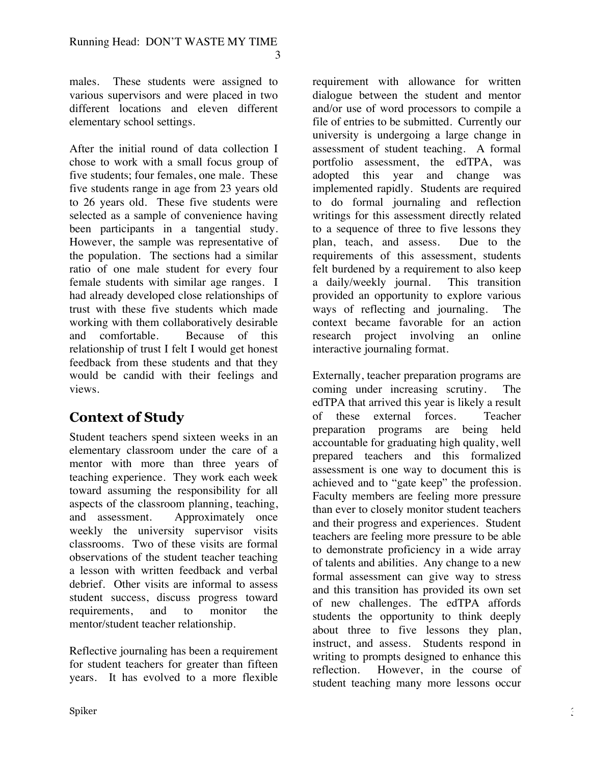males. These students were assigned to various supervisors and were placed in two different locations and eleven different elementary school settings.

After the initial round of data collection I chose to work with a small focus group of five students; four females, one male. These five students range in age from 23 years old to 26 years old. These five students were selected as a sample of convenience having been participants in a tangential study. However, the sample was representative of the population. The sections had a similar ratio of one male student for every four female students with similar age ranges. I had already developed close relationships of trust with these five students which made working with them collaboratively desirable and comfortable. Because of this relationship of trust I felt I would get honest feedback from these students and that they would be candid with their feelings and views.

#### **Context of Study**

Student teachers spend sixteen weeks in an elementary classroom under the care of a mentor with more than three years of teaching experience. They work each week toward assuming the responsibility for all aspects of the classroom planning, teaching, and assessment. Approximately once weekly the university supervisor visits classrooms. Two of these visits are formal observations of the student teacher teaching a lesson with written feedback and verbal debrief. Other visits are informal to assess student success, discuss progress toward requirements, and to monitor the mentor/student teacher relationship.

Reflective journaling has been a requirement for student teachers for greater than fifteen years. It has evolved to a more flexible

requirement with allowance for written dialogue between the student and mentor and/or use of word processors to compile a file of entries to be submitted. Currently our university is undergoing a large change in assessment of student teaching. A formal portfolio assessment, the edTPA, was adopted this year and change was implemented rapidly. Students are required to do formal journaling and reflection writings for this assessment directly related to a sequence of three to five lessons they plan, teach, and assess. Due to the requirements of this assessment, students felt burdened by a requirement to also keep a daily/weekly journal. This transition provided an opportunity to explore various ways of reflecting and journaling. The context became favorable for an action research project involving an online interactive journaling format.

Externally, teacher preparation programs are coming under increasing scrutiny. The edTPA that arrived this year is likely a result of these external forces. Teacher preparation programs are being held accountable for graduating high quality, well prepared teachers and this formalized assessment is one way to document this is achieved and to "gate keep" the profession. Faculty members are feeling more pressure than ever to closely monitor student teachers and their progress and experiences. Student teachers are feeling more pressure to be able to demonstrate proficiency in a wide array of talents and abilities. Any change to a new formal assessment can give way to stress and this transition has provided its own set of new challenges. The edTPA affords students the opportunity to think deeply about three to five lessons they plan, instruct, and assess. Students respond in writing to prompts designed to enhance this reflection. However, in the course of student teaching many more lessons occur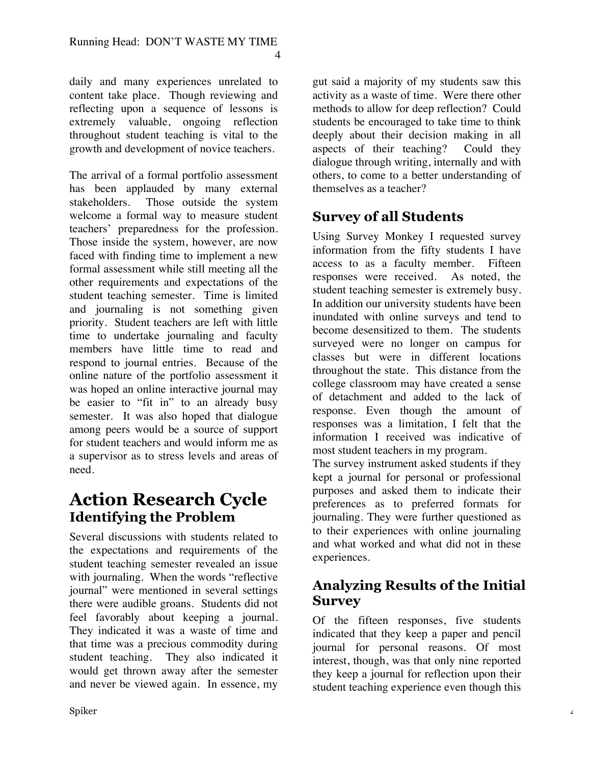4

daily and many experiences unrelated to content take place. Though reviewing and reflecting upon a sequence of lessons is extremely valuable, ongoing reflection throughout student teaching is vital to the growth and development of novice teachers.

The arrival of a formal portfolio assessment has been applauded by many external stakeholders. Those outside the system welcome a formal way to measure student teachers' preparedness for the profession. Those inside the system, however, are now faced with finding time to implement a new formal assessment while still meeting all the other requirements and expectations of the student teaching semester. Time is limited and journaling is not something given priority. Student teachers are left with little time to undertake journaling and faculty members have little time to read and respond to journal entries. Because of the online nature of the portfolio assessment it was hoped an online interactive journal may be easier to "fit in" to an already busy semester. It was also hoped that dialogue among peers would be a source of support for student teachers and would inform me as a supervisor as to stress levels and areas of need.

# **Action Research Cycle Identifying the Problem**

Several discussions with students related to the expectations and requirements of the student teaching semester revealed an issue with journaling. When the words "reflective" journal" were mentioned in several settings there were audible groans. Students did not feel favorably about keeping a journal. They indicated it was a waste of time and that time was a precious commodity during student teaching. They also indicated it would get thrown away after the semester and never be viewed again. In essence, my

gut said a majority of my students saw this activity as a waste of time. Were there other methods to allow for deep reflection? Could students be encouraged to take time to think deeply about their decision making in all aspects of their teaching? Could they dialogue through writing, internally and with others, to come to a better understanding of themselves as a teacher?

#### **Survey of all Students**

Using Survey Monkey I requested survey information from the fifty students I have access to as a faculty member. Fifteen responses were received. As noted, the student teaching semester is extremely busy. In addition our university students have been inundated with online surveys and tend to become desensitized to them. The students surveyed were no longer on campus for classes but were in different locations throughout the state. This distance from the college classroom may have created a sense of detachment and added to the lack of response. Even though the amount of responses was a limitation, I felt that the information I received was indicative of most student teachers in my program.

The survey instrument asked students if they kept a journal for personal or professional purposes and asked them to indicate their preferences as to preferred formats for journaling. They were further questioned as to their experiences with online journaling and what worked and what did not in these experiences.

#### **Analyzing Results of the Initial Survey**

Of the fifteen responses, five students indicated that they keep a paper and pencil journal for personal reasons. Of most interest, though, was that only nine reported they keep a journal for reflection upon their student teaching experience even though this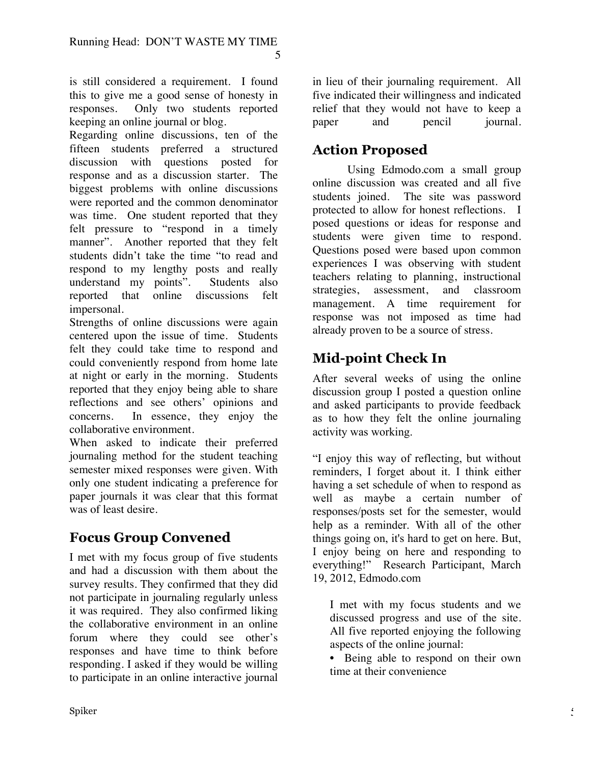5

is still considered a requirement. I found this to give me a good sense of honesty in responses. Only two students reported keeping an online journal or blog.

Regarding online discussions, ten of the fifteen students preferred a structured discussion with questions posted for response and as a discussion starter. The biggest problems with online discussions were reported and the common denominator was time. One student reported that they felt pressure to "respond in a timely manner". Another reported that they felt students didn't take the time "to read and respond to my lengthy posts and really understand my points". Students also reported that online discussions felt impersonal.

Strengths of online discussions were again centered upon the issue of time. Students felt they could take time to respond and could conveniently respond from home late at night or early in the morning. Students reported that they enjoy being able to share reflections and see others' opinions and concerns. In essence, they enjoy the collaborative environment.

When asked to indicate their preferred journaling method for the student teaching semester mixed responses were given. With only one student indicating a preference for paper journals it was clear that this format was of least desire.

#### **Focus Group Convened**

I met with my focus group of five students and had a discussion with them about the survey results. They confirmed that they did not participate in journaling regularly unless it was required. They also confirmed liking the collaborative environment in an online forum where they could see other's responses and have time to think before responding. I asked if they would be willing to participate in an online interactive journal

in lieu of their journaling requirement. All five indicated their willingness and indicated relief that they would not have to keep a paper and pencil journal.

#### **Action Proposed**

Using Edmodo.com a small group online discussion was created and all five students joined. The site was password protected to allow for honest reflections. I posed questions or ideas for response and students were given time to respond. Questions posed were based upon common experiences I was observing with student teachers relating to planning, instructional strategies, assessment, and classroom management. A time requirement for response was not imposed as time had already proven to be a source of stress.

#### **Mid-point Check In**

After several weeks of using the online discussion group I posted a question online and asked participants to provide feedback as to how they felt the online journaling activity was working.

"I enjoy this way of reflecting, but without reminders, I forget about it. I think either having a set schedule of when to respond as well as maybe a certain number of responses/posts set for the semester, would help as a reminder. With all of the other things going on, it's hard to get on here. But, I enjoy being on here and responding to everything!" Research Participant, March 19, 2012, Edmodo.com

I met with my focus students and we discussed progress and use of the site. All five reported enjoying the following aspects of the online journal:

• Being able to respond on their own time at their convenience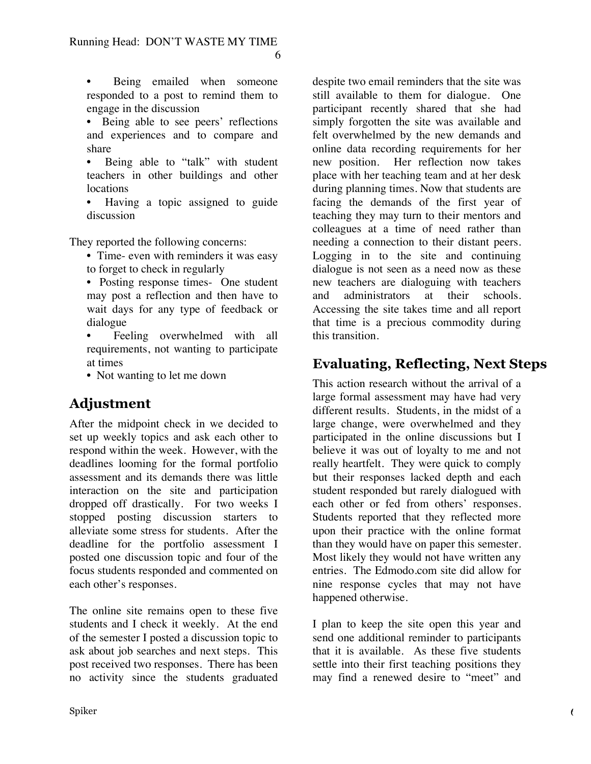- Being emailed when someone responded to a post to remind them to engage in the discussion
- Being able to see peers' reflections and experiences and to compare and share
- Being able to "talk" with student teachers in other buildings and other locations
- Having a topic assigned to guide discussion

They reported the following concerns:

- Time- even with reminders it was easy to forget to check in regularly
- Posting response times- One student may post a reflection and then have to wait days for any type of feedback or dialogue
- Feeling overwhelmed with all requirements, not wanting to participate at times
- Not wanting to let me down

#### **Adjustment**

After the midpoint check in we decided to set up weekly topics and ask each other to respond within the week. However, with the deadlines looming for the formal portfolio assessment and its demands there was little interaction on the site and participation dropped off drastically. For two weeks I stopped posting discussion starters to alleviate some stress for students. After the deadline for the portfolio assessment I posted one discussion topic and four of the focus students responded and commented on each other's responses.

The online site remains open to these five students and I check it weekly. At the end of the semester I posted a discussion topic to ask about job searches and next steps. This post received two responses. There has been no activity since the students graduated despite two email reminders that the site was still available to them for dialogue. One participant recently shared that she had simply forgotten the site was available and felt overwhelmed by the new demands and online data recording requirements for her new position. Her reflection now takes place with her teaching team and at her desk during planning times. Now that students are facing the demands of the first year of teaching they may turn to their mentors and colleagues at a time of need rather than needing a connection to their distant peers. Logging in to the site and continuing dialogue is not seen as a need now as these new teachers are dialoguing with teachers and administrators at their schools. Accessing the site takes time and all report that time is a precious commodity during this transition.

#### **Evaluating, Reflecting, Next Steps**

This action research without the arrival of a large formal assessment may have had very different results. Students, in the midst of a large change, were overwhelmed and they participated in the online discussions but I believe it was out of loyalty to me and not really heartfelt. They were quick to comply but their responses lacked depth and each student responded but rarely dialogued with each other or fed from others' responses. Students reported that they reflected more upon their practice with the online format than they would have on paper this semester. Most likely they would not have written any entries. The Edmodo.com site did allow for nine response cycles that may not have happened otherwise.

I plan to keep the site open this year and send one additional reminder to participants that it is available. As these five students settle into their first teaching positions they may find a renewed desire to "meet" and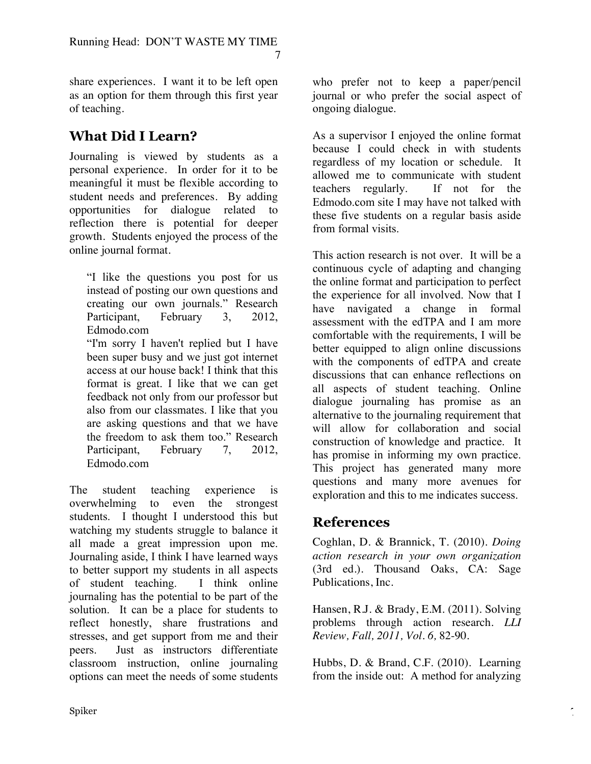share experiences. I want it to be left open as an option for them through this first year of teaching.

#### **What Did I Learn?**

Journaling is viewed by students as a personal experience. In order for it to be meaningful it must be flexible according to student needs and preferences. By adding opportunities for dialogue related to reflection there is potential for deeper growth. Students enjoyed the process of the online journal format.

"I like the questions you post for us instead of posting our own questions and creating our own journals." Research Participant, February 3, 2012, Edmodo.com

"I'm sorry I haven't replied but I have been super busy and we just got internet access at our house back! I think that this format is great. I like that we can get feedback not only from our professor but also from our classmates. I like that you are asking questions and that we have the freedom to ask them too." Research Participant, February 7, 2012, Edmodo.com

The student teaching experience is overwhelming to even the strongest students. I thought I understood this but watching my students struggle to balance it all made a great impression upon me. Journaling aside, I think I have learned ways to better support my students in all aspects of student teaching. I think online journaling has the potential to be part of the solution. It can be a place for students to reflect honestly, share frustrations and stresses, and get support from me and their peers. Just as instructors differentiate classroom instruction, online journaling options can meet the needs of some students

who prefer not to keep a paper/pencil journal or who prefer the social aspect of ongoing dialogue.

As a supervisor I enjoyed the online format because I could check in with students regardless of my location or schedule. It allowed me to communicate with student teachers regularly. If not for the Edmodo.com site I may have not talked with these five students on a regular basis aside from formal visits.

This action research is not over. It will be a continuous cycle of adapting and changing the online format and participation to perfect the experience for all involved. Now that I have navigated a change in formal assessment with the edTPA and I am more comfortable with the requirements, I will be better equipped to align online discussions with the components of edTPA and create discussions that can enhance reflections on all aspects of student teaching. Online dialogue journaling has promise as an alternative to the journaling requirement that will allow for collaboration and social construction of knowledge and practice. It has promise in informing my own practice. This project has generated many more questions and many more avenues for exploration and this to me indicates success.

#### **References**

Coghlan, D. & Brannick, T. (2010). *Doing action research in your own organization* (3rd ed.). Thousand Oaks, CA: Sage Publications, Inc.

Hansen, R.J. & Brady, E.M. (2011). Solving problems through action research. *LLI Review, Fall, 2011, Vol. 6,* 82-90.

Hubbs, D. & Brand, C.F. (2010). Learning from the inside out: A method for analyzing